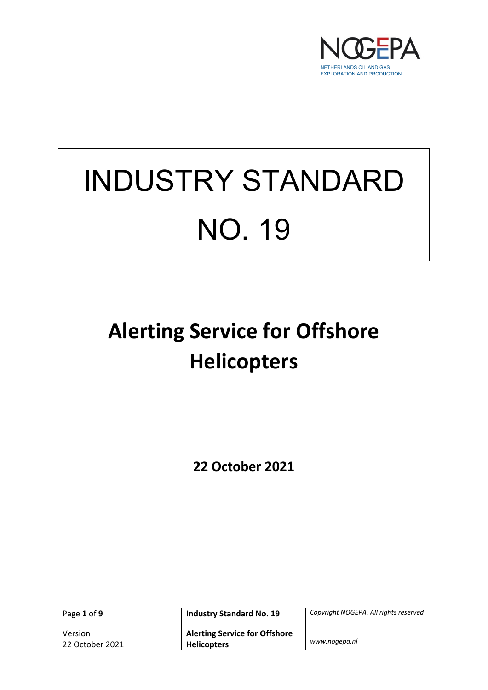

# INDUSTRY STANDARD NO. 19

# **Alerting Service for Offshore Helicopters**

**22 October 2021**

Version 22 October 2021

**Alerting Service for Offshore Helicopters** *www.nogepa.nl*

Page **1** of **9 Industry Standard No. 19** *Copyright NOGEPA. All rights reserved*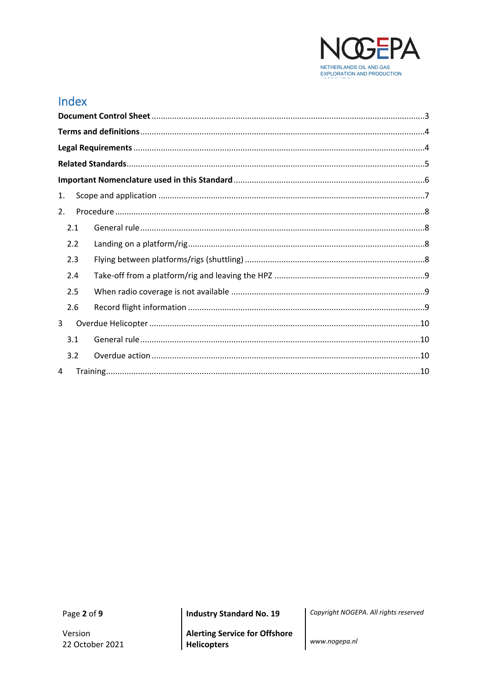

# Index

| 1. |                                                                                                                                                                                                                                                                                                                                                                                                                                                                                                                                                                |  |  |
|----|----------------------------------------------------------------------------------------------------------------------------------------------------------------------------------------------------------------------------------------------------------------------------------------------------------------------------------------------------------------------------------------------------------------------------------------------------------------------------------------------------------------------------------------------------------------|--|--|
| 2. |                                                                                                                                                                                                                                                                                                                                                                                                                                                                                                                                                                |  |  |
|    | 2.1                                                                                                                                                                                                                                                                                                                                                                                                                                                                                                                                                            |  |  |
|    | 2.2                                                                                                                                                                                                                                                                                                                                                                                                                                                                                                                                                            |  |  |
|    | 2.3                                                                                                                                                                                                                                                                                                                                                                                                                                                                                                                                                            |  |  |
|    | 2.4                                                                                                                                                                                                                                                                                                                                                                                                                                                                                                                                                            |  |  |
|    | 2.5                                                                                                                                                                                                                                                                                                                                                                                                                                                                                                                                                            |  |  |
|    | 2.6                                                                                                                                                                                                                                                                                                                                                                                                                                                                                                                                                            |  |  |
| 3  |                                                                                                                                                                                                                                                                                                                                                                                                                                                                                                                                                                |  |  |
|    | 3.1                                                                                                                                                                                                                                                                                                                                                                                                                                                                                                                                                            |  |  |
|    | 3.2                                                                                                                                                                                                                                                                                                                                                                                                                                                                                                                                                            |  |  |
| 4  | $\begin{minipage}{0.9\linewidth} Training \begin{minipage}{0.9\linewidth} \normalsize{ }}. \normalsize{ }}. \normalsize{ }}. \normalsize{ }}. \normalsize{ }}. \normalsize{ }}. \normalsize{ }}. \normalsize{ }}. \normalsize{ }}. \normalsize{ }}. \normalsize{ }}. \normalsize{ }}. \normalsize{ }}. \normalsize{ }}. \normalsize{ }}. \normalsize{ }}. \normalsize{ }}. \normalsize{ }}. \normalsize{ }}. \normalsize{ }}. \normalsize{ }}. \normalsize{ }}. \normalsize{ }}. \normalsize{ }}. \normalsize{ }}. \normalsize{ }}. \normalsize{ }}. \normals$ |  |  |

Page 2 of 9

**Industry Standard No. 19** 

**Alerting Service for Offshore Helicopters** 

Copyright NOGEPA. All rights reserved

www.nogepa.nl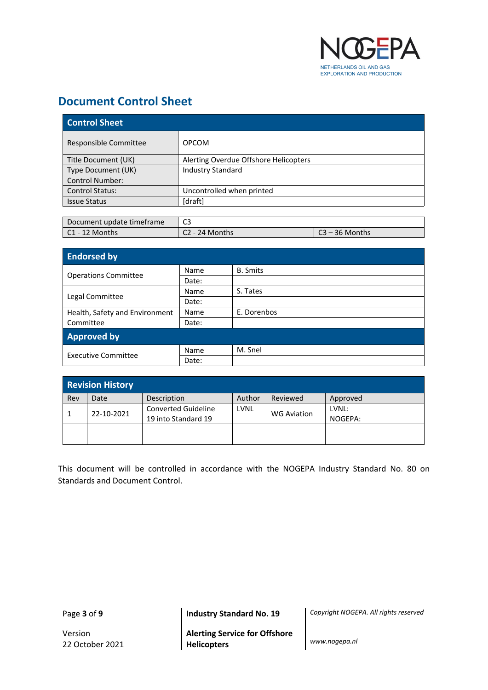

# <span id="page-2-0"></span>**Document Control Sheet**

| <b>Control Sheet</b>                  |  |  |
|---------------------------------------|--|--|
| <b>OPCOM</b>                          |  |  |
| Alerting Overdue Offshore Helicopters |  |  |
| <b>Industry Standard</b>              |  |  |
|                                       |  |  |
| Uncontrolled when printed             |  |  |
| [draft]                               |  |  |
|                                       |  |  |

| Document update timeframe | $\sim$           |                    |  |
|---------------------------|------------------|--------------------|--|
| $\mathsf{C}1$ - 12 Months | $C2 - 24$ Months | ิ 23 – 36 Months โ |  |

| <b>Endorsed by</b>             |       |                 |  |  |
|--------------------------------|-------|-----------------|--|--|
| <b>Operations Committee</b>    | Name  | <b>B.</b> Smits |  |  |
|                                | Date: |                 |  |  |
|                                | Name  | S. Tates        |  |  |
| Legal Committee                | Date: |                 |  |  |
| Health, Safety and Environment | Name  | E. Dorenbos     |  |  |
| Committee                      | Date: |                 |  |  |
| <b>Approved by</b>             |       |                 |  |  |
| <b>Executive Committee</b>     | Name  | M. Snel         |  |  |
|                                | Date: |                 |  |  |

| <b>Revision History</b> |            |                            |        |                    |          |
|-------------------------|------------|----------------------------|--------|--------------------|----------|
| Rev                     | Date       | Description                | Author | Reviewed           | Approved |
|                         | 22-10-2021 | <b>Converted Guideline</b> | LVNL   | <b>WG Aviation</b> | LVNL:    |
|                         |            | 19 into Standard 19        |        |                    | NOGEPA:  |
|                         |            |                            |        |                    |          |
|                         |            |                            |        |                    |          |

This document will be controlled in accordance with the NOGEPA Industry Standard No. 80 on Standards and Document Control.

Page **3** of **9 Industry Standard No. 19** *Copyright NOGEPA. All rights reserved*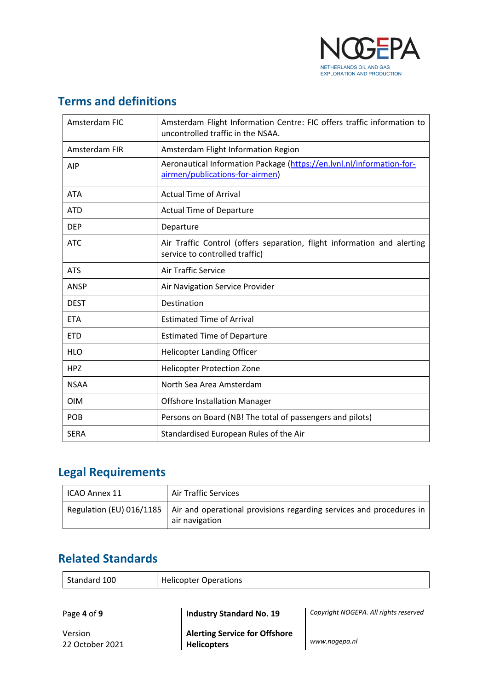

# <span id="page-3-0"></span>**Terms and definitions**

| Amsterdam FIC | Amsterdam Flight Information Centre: FIC offers traffic information to<br>uncontrolled traffic in the NSAA. |
|---------------|-------------------------------------------------------------------------------------------------------------|
| Amsterdam FIR | Amsterdam Flight Information Region                                                                         |
| <b>AIP</b>    | Aeronautical Information Package (https://en.lvnl.nl/information-for-<br>airmen/publications-for-airmen)    |
| <b>ATA</b>    | <b>Actual Time of Arrival</b>                                                                               |
| <b>ATD</b>    | <b>Actual Time of Departure</b>                                                                             |
| <b>DEP</b>    | Departure                                                                                                   |
| <b>ATC</b>    | Air Traffic Control (offers separation, flight information and alerting<br>service to controlled traffic)   |
| <b>ATS</b>    | <b>Air Traffic Service</b>                                                                                  |
| <b>ANSP</b>   | Air Navigation Service Provider                                                                             |
| <b>DEST</b>   | Destination                                                                                                 |
| <b>ETA</b>    | <b>Estimated Time of Arrival</b>                                                                            |
| <b>ETD</b>    | <b>Estimated Time of Departure</b>                                                                          |
| <b>HLO</b>    | <b>Helicopter Landing Officer</b>                                                                           |
| <b>HPZ</b>    | <b>Helicopter Protection Zone</b>                                                                           |
| <b>NSAA</b>   | North Sea Area Amsterdam                                                                                    |
| <b>OIM</b>    | <b>Offshore Installation Manager</b>                                                                        |
| POB           | Persons on Board (NB! The total of passengers and pilots)                                                   |
| <b>SERA</b>   | Standardised European Rules of the Air                                                                      |

# <span id="page-3-1"></span>**Legal Requirements**

| ICAO Annex 11 | <b>Air Traffic Services</b>                                                                                      |  |
|---------------|------------------------------------------------------------------------------------------------------------------|--|
|               | Regulation (EU) 016/1185   Air and operational provisions regarding services and procedures in<br>air navigation |  |

# <span id="page-3-2"></span>**Related Standards**

| Standard 100 | Helicopter Operations |
|--------------|-----------------------|
|              |                       |

Page **4** of **9 Industry Standard No. 19** *Copyright NOGEPA. All rights reserved*

Version 22 October 2021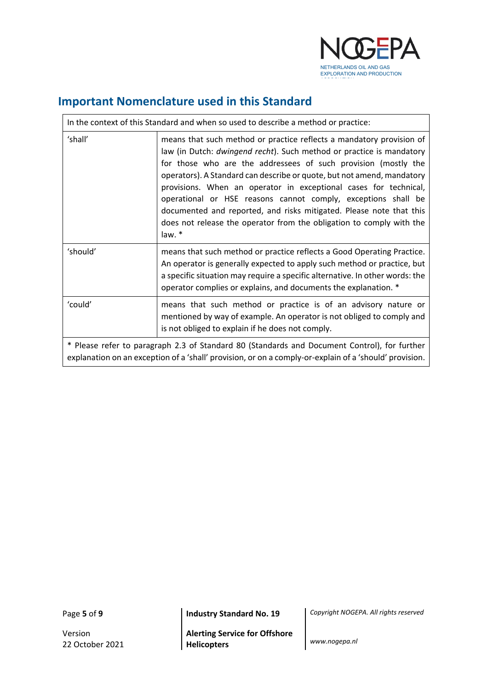

# <span id="page-4-0"></span>**Important Nomenclature used in this Standard**

| In the context of this Standard and when so used to describe a method or practice:                                                                                                                     |                                                                                                                                                                                                                                                                                                                                                                                                                                                                                                                                                                                        |  |
|--------------------------------------------------------------------------------------------------------------------------------------------------------------------------------------------------------|----------------------------------------------------------------------------------------------------------------------------------------------------------------------------------------------------------------------------------------------------------------------------------------------------------------------------------------------------------------------------------------------------------------------------------------------------------------------------------------------------------------------------------------------------------------------------------------|--|
| 'shall'                                                                                                                                                                                                | means that such method or practice reflects a mandatory provision of<br>law (in Dutch: dwingend recht). Such method or practice is mandatory<br>for those who are the addressees of such provision (mostly the<br>operators). A Standard can describe or quote, but not amend, mandatory<br>provisions. When an operator in exceptional cases for technical,<br>operational or HSE reasons cannot comply, exceptions shall be<br>documented and reported, and risks mitigated. Please note that this<br>does not release the operator from the obligation to comply with the<br>law. * |  |
| 'should'                                                                                                                                                                                               | means that such method or practice reflects a Good Operating Practice.<br>An operator is generally expected to apply such method or practice, but<br>a specific situation may require a specific alternative. In other words: the<br>operator complies or explains, and documents the explanation. *                                                                                                                                                                                                                                                                                   |  |
| 'could'                                                                                                                                                                                                | means that such method or practice is of an advisory nature or<br>mentioned by way of example. An operator is not obliged to comply and<br>is not obliged to explain if he does not comply.                                                                                                                                                                                                                                                                                                                                                                                            |  |
| * Please refer to paragraph 2.3 of Standard 80 (Standards and Document Control), for further<br>explanation on an exception of a 'shall' provision, or on a comply-or-explain of a 'should' provision. |                                                                                                                                                                                                                                                                                                                                                                                                                                                                                                                                                                                        |  |

 $\mathsf{r}$ 

Page **5** of **9 Industry Standard No. 19** *Copyright NOGEPA. All rights reserved*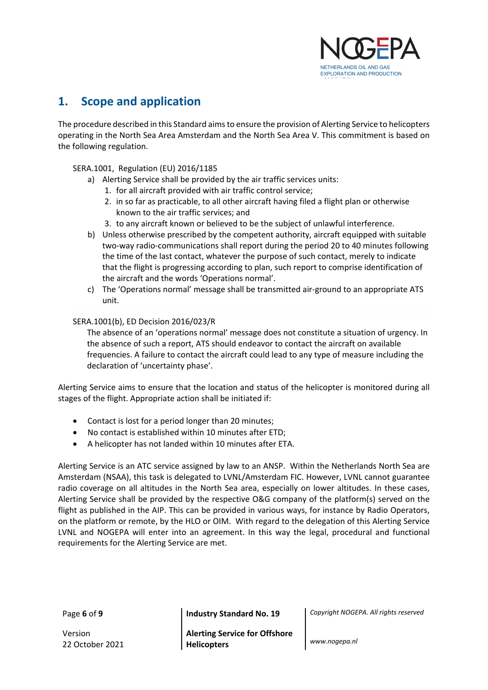

# <span id="page-5-0"></span>**1. Scope and application**

The procedure described in this Standard aims to ensure the provision of Alerting Service to helicopters operating in the North Sea Area Amsterdam and the North Sea Area V. This commitment is based on the following regulation.

#### SERA.1001, Regulation (EU) 2016/1185

- a) Alerting Service shall be provided by the air traffic services units:
	- 1. for all aircraft provided with air traffic control service;
	- 2. in so far as practicable, to all other aircraft having filed a flight plan or otherwise known to the air traffic services; and
	- 3. to any aircraft known or believed to be the subject of unlawful interference.
- b) Unless otherwise prescribed by the competent authority, aircraft equipped with suitable two-way radio-communications shall report during the period 20 to 40 minutes following the time of the last contact, whatever the purpose of such contact, merely to indicate that the flight is progressing according to plan, such report to comprise identification of the aircraft and the words 'Operations normal'.
- c) The 'Operations normal' message shall be transmitted air-ground to an appropriate ATS unit.

#### SERA.1001(b), ED Decision 2016/023/R

The absence of an 'operations normal' message does not constitute a situation of urgency. In the absence of such a report, ATS should endeavor to contact the aircraft on available frequencies. A failure to contact the aircraft could lead to any type of measure including the declaration of 'uncertainty phase'.

Alerting Service aims to ensure that the location and status of the helicopter is monitored during all stages of the flight. Appropriate action shall be initiated if:

- Contact is lost for a period longer than 20 minutes;
- No contact is established within 10 minutes after ETD;
- A helicopter has not landed within 10 minutes after ETA.

Alerting Service is an ATC service assigned by law to an ANSP. Within the Netherlands North Sea are Amsterdam (NSAA), this task is delegated to LVNL/Amsterdam FIC. However, LVNL cannot guarantee radio coverage on all altitudes in the North Sea area, especially on lower altitudes. In these cases, Alerting Service shall be provided by the respective O&G company of the platform(s) served on the flight as published in the AIP. This can be provided in various ways, for instance by Radio Operators, on the platform or remote, by the HLO or OIM. With regard to the delegation of this Alerting Service LVNL and NOGEPA will enter into an agreement. In this way the legal, procedural and functional requirements for the Alerting Service are met.

Version 22 October 2021

Page **6** of **9 Industry Standard No. 19** *Copyright NOGEPA. All rights reserved*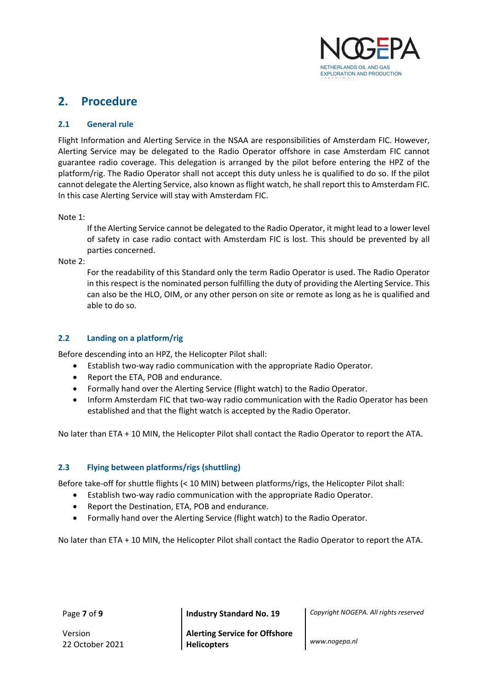

## <span id="page-6-0"></span>**2. Procedure**

#### <span id="page-6-1"></span>**2.1 General rule**

Flight Information and Alerting Service in the NSAA are responsibilities of Amsterdam FIC. However, Alerting Service may be delegated to the Radio Operator offshore in case Amsterdam FIC cannot guarantee radio coverage. This delegation is arranged by the pilot before entering the HPZ of the platform/rig. The Radio Operator shall not accept this duty unless he is qualified to do so. If the pilot cannot delegate the Alerting Service, also known as flight watch, he shall report this to Amsterdam FIC. In this case Alerting Service will stay with Amsterdam FIC.

Note 1:

If the Alerting Service cannot be delegated to the Radio Operator, it might lead to a lower level of safety in case radio contact with Amsterdam FIC is lost. This should be prevented by all parties concerned.

Note 2:

For the readability of this Standard only the term Radio Operator is used. The Radio Operator in this respect is the nominated person fulfilling the duty of providing the Alerting Service. This can also be the HLO, OIM, or any other person on site or remote as long as he is qualified and able to do so.

#### <span id="page-6-2"></span>**2.2 Landing on a platform/rig**

Before descending into an HPZ, the Helicopter Pilot shall:

- Establish two-way radio communication with the appropriate Radio Operator.
- Report the ETA, POB and endurance.
- Formally hand over the Alerting Service (flight watch) to the Radio Operator.
- Inform Amsterdam FIC that two-way radio communication with the Radio Operator has been established and that the flight watch is accepted by the Radio Operator.

No later than ETA + 10 MIN, the Helicopter Pilot shall contact the Radio Operator to report the ATA.

#### <span id="page-6-3"></span>**2.3 Flying between platforms/rigs (shuttling)**

Before take-off for shuttle flights (< 10 MIN) between platforms/rigs, the Helicopter Pilot shall:

- Establish two-way radio communication with the appropriate Radio Operator.
- Report the Destination, ETA, POB and endurance.
- Formally hand over the Alerting Service (flight watch) to the Radio Operator.

No later than ETA + 10 MIN, the Helicopter Pilot shall contact the Radio Operator to report the ATA.

Version 22 October 2021

Page **7** of **9 Industry Standard No. 19** *Copyright NOGEPA. All rights reserved*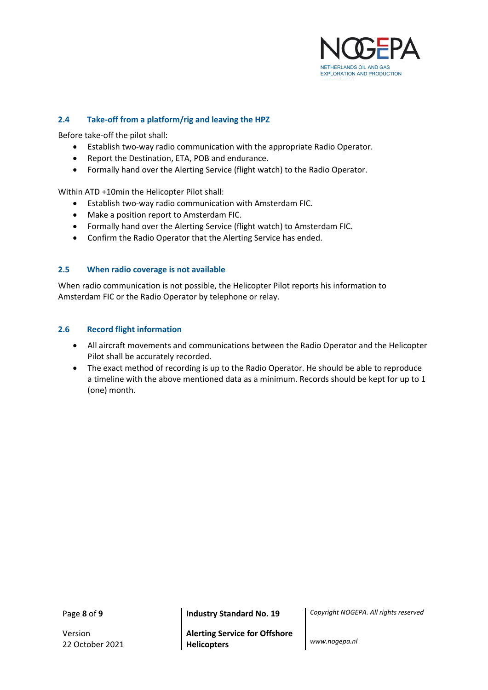

#### <span id="page-7-0"></span>**2.4 Take-off from a platform/rig and leaving the HPZ**

Before take-off the pilot shall:

- Establish two-way radio communication with the appropriate Radio Operator.
- Report the Destination, ETA, POB and endurance.
- Formally hand over the Alerting Service (flight watch) to the Radio Operator.

Within ATD +10min the Helicopter Pilot shall:

- Establish two-way radio communication with Amsterdam FIC.
- Make a position report to Amsterdam FIC.
- Formally hand over the Alerting Service (flight watch) to Amsterdam FIC.
- Confirm the Radio Operator that the Alerting Service has ended.

#### <span id="page-7-1"></span>**2.5 When radio coverage is not available**

When radio communication is not possible, the Helicopter Pilot reports his information to Amsterdam FIC or the Radio Operator by telephone or relay.

#### <span id="page-7-2"></span>**2.6 Record flight information**

- All aircraft movements and communications between the Radio Operator and the Helicopter Pilot shall be accurately recorded.
- The exact method of recording is up to the Radio Operator. He should be able to reproduce a timeline with the above mentioned data as a minimum. Records should be kept for up to 1 (one) month.

Page **8** of **9 Industry Standard No. 19** *Copyright NOGEPA. All rights reserved*